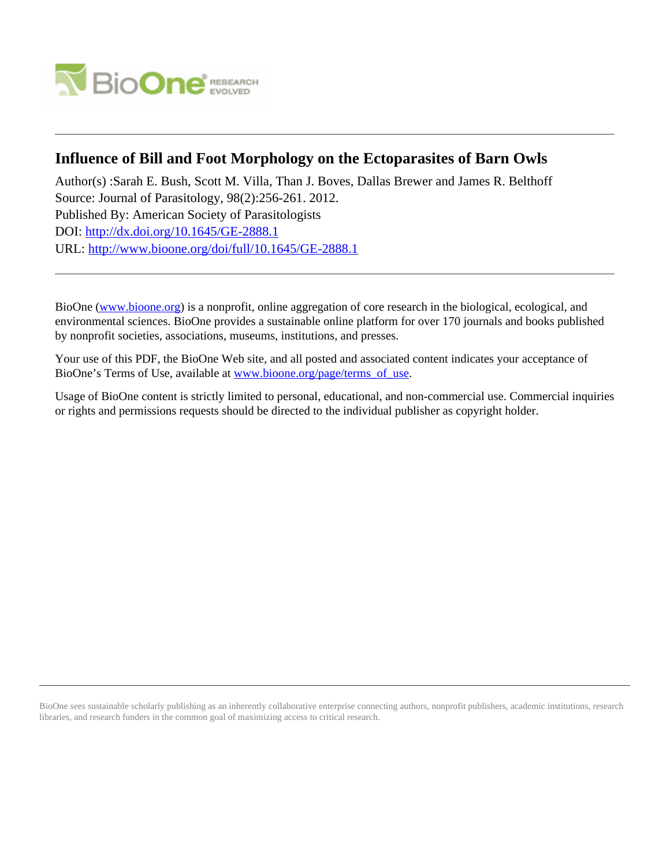

# **Influence of Bill and Foot Morphology on the Ectoparasites of Barn Owls**

Author(s) :Sarah E. Bush, Scott M. Villa, Than J. Boves, Dallas Brewer and James R. Belthoff Source: Journal of Parasitology, 98(2):256-261. 2012. Published By: American Society of Parasitologists DOI:<http://dx.doi.org/10.1645/GE-2888.1> URL: <http://www.bioone.org/doi/full/10.1645/GE-2888.1>

BioOne [\(www.bioone.org\)](http://www.bioone.org) is a nonprofit, online aggregation of core research in the biological, ecological, and environmental sciences. BioOne provides a sustainable online platform for over 170 journals and books published by nonprofit societies, associations, museums, institutions, and presses.

Your use of this PDF, the BioOne Web site, and all posted and associated content indicates your acceptance of BioOne's Terms of Use, available at [www.bioone.org/page/terms\\_of\\_use.](http://www.bioone.org/page/terms_of_use)

Usage of BioOne content is strictly limited to personal, educational, and non-commercial use. Commercial inquiries or rights and permissions requests should be directed to the individual publisher as copyright holder.

BioOne sees sustainable scholarly publishing as an inherently collaborative enterprise connecting authors, nonprofit publishers, academic institutions, research libraries, and research funders in the common goal of maximizing access to critical research.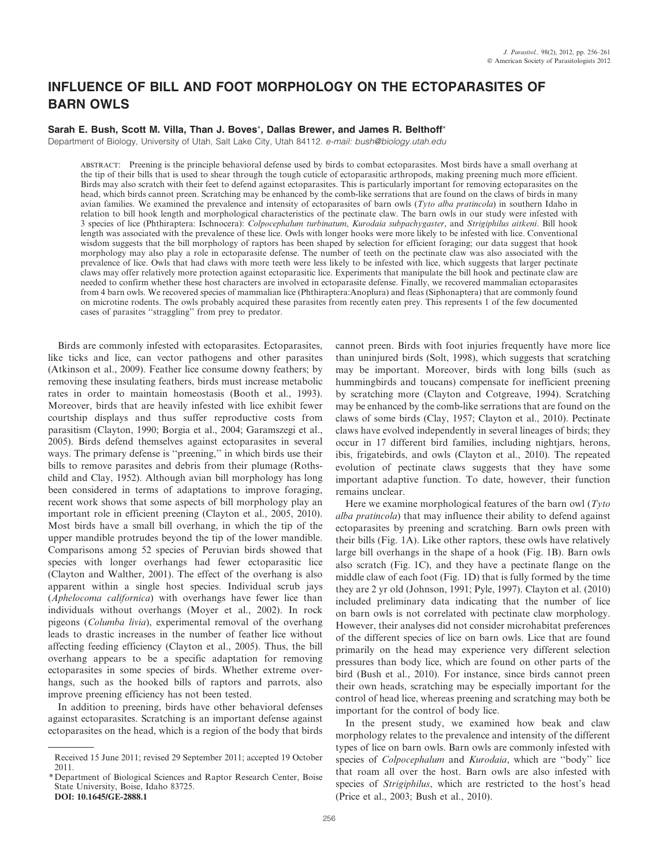## INFLUENCE OF BILL AND FOOT MORPHOLOGY ON THE ECTOPARASITES OF BARN OWLS

## Sarah E. Bush, Scott M. Villa, Than J. Boves\*, Dallas Brewer, and James R. Belthoff\*

Department of Biology, University of Utah, Salt Lake City, Utah 84112. e-mail: bush@biology.utah.edu

ABSTRACT: Preening is the principle behavioral defense used by birds to combat ectoparasites. Most birds have a small overhang at the tip of their bills that is used to shear through the tough cuticle of ectoparasitic arthropods, making preening much more efficient. Birds may also scratch with their feet to defend against ectoparasites. This is particularly important for removing ectoparasites on the head, which birds cannot preen. Scratching may be enhanced by the comb-like serrations that are found on the claws of birds in many avian families. We examined the prevalence and intensity of ectoparasites of barn owls (Tyto alba pratincola) in southern Idaho in relation to bill hook length and morphological characteristics of the pectinate claw. The barn owls in our study were infested with 3 species of lice (Phthiraptera: Ischnocera): Colpocephalum turbinatum, Kurodaia subpachygaster, and Strigiphilus aitkeni. Bill hook length was associated with the prevalence of these lice. Owls with longer hooks were more likely to be infested with lice. Conventional wisdom suggests that the bill morphology of raptors has been shaped by selection for efficient foraging; our data suggest that hook morphology may also play a role in ectoparasite defense. The number of teeth on the pectinate claw was also associated with the prevalence of lice. Owls that had claws with more teeth were less likely to be infested with lice, which suggests that larger pectinate claws may offer relatively more protection against ectoparasitic lice. Experiments that manipulate the bill hook and pectinate claw are needed to confirm whether these host characters are involved in ectoparasite defense. Finally, we recovered mammalian ectoparasites from 4 barn owls. We recovered species of mammalian lice (Phthiraptera:Anoplura) and fleas (Siphonaptera) that are commonly found on microtine rodents. The owls probably acquired these parasites from recently eaten prey. This represents 1 of the few documented cases of parasites ''straggling'' from prey to predator.

Birds are commonly infested with ectoparasites. Ectoparasites, like ticks and lice, can vector pathogens and other parasites (Atkinson et al., 2009). Feather lice consume downy feathers; by removing these insulating feathers, birds must increase metabolic rates in order to maintain homeostasis (Booth et al., 1993). Moreover, birds that are heavily infested with lice exhibit fewer courtship displays and thus suffer reproductive costs from parasitism (Clayton, 1990; Borgia et al., 2004; Garamszegi et al., 2005). Birds defend themselves against ectoparasites in several ways. The primary defense is ''preening,'' in which birds use their bills to remove parasites and debris from their plumage (Rothschild and Clay, 1952). Although avian bill morphology has long been considered in terms of adaptations to improve foraging, recent work shows that some aspects of bill morphology play an important role in efficient preening (Clayton et al., 2005, 2010). Most birds have a small bill overhang, in which the tip of the upper mandible protrudes beyond the tip of the lower mandible. Comparisons among 52 species of Peruvian birds showed that species with longer overhangs had fewer ectoparasitic lice (Clayton and Walther, 2001). The effect of the overhang is also apparent within a single host species. Individual scrub jays (Aphelocoma californica) with overhangs have fewer lice than individuals without overhangs (Moyer et al., 2002). In rock pigeons (Columba livia), experimental removal of the overhang leads to drastic increases in the number of feather lice without affecting feeding efficiency (Clayton et al., 2005). Thus, the bill overhang appears to be a specific adaptation for removing ectoparasites in some species of birds. Whether extreme overhangs, such as the hooked bills of raptors and parrots, also improve preening efficiency has not been tested.

In addition to preening, birds have other behavioral defenses against ectoparasites. Scratching is an important defense against ectoparasites on the head, which is a region of the body that birds than uninjured birds (Solt, 1998), which suggests that scratching may be important. Moreover, birds with long bills (such as hummingbirds and toucans) compensate for inefficient preening by scratching more (Clayton and Cotgreave, 1994). Scratching may be enhanced by the comb-like serrations that are found on the claws of some birds (Clay, 1957; Clayton et al., 2010). Pectinate claws have evolved independently in several lineages of birds; they occur in 17 different bird families, including nightjars, herons, ibis, frigatebirds, and owls (Clayton et al., 2010). The repeated evolution of pectinate claws suggests that they have some important adaptive function. To date, however, their function remains unclear.

cannot preen. Birds with foot injuries frequently have more lice

Here we examine morphological features of the barn owl  $(Tyto$ alba pratincola) that may influence their ability to defend against ectoparasites by preening and scratching. Barn owls preen with their bills (Fig. 1A). Like other raptors, these owls have relatively large bill overhangs in the shape of a hook (Fig. 1B). Barn owls also scratch (Fig. 1C), and they have a pectinate flange on the middle claw of each foot (Fig. 1D) that is fully formed by the time they are 2 yr old (Johnson, 1991; Pyle, 1997). Clayton et al. (2010) included preliminary data indicating that the number of lice on barn owls is not correlated with pectinate claw morphology. However, their analyses did not consider microhabitat preferences of the different species of lice on barn owls. Lice that are found primarily on the head may experience very different selection pressures than body lice, which are found on other parts of the bird (Bush et al., 2010). For instance, since birds cannot preen their own heads, scratching may be especially important for the control of head lice, whereas preening and scratching may both be important for the control of body lice.

In the present study, we examined how beak and claw morphology relates to the prevalence and intensity of the different types of lice on barn owls. Barn owls are commonly infested with species of Colpocephalum and Kurodaia, which are ''body'' lice that roam all over the host. Barn owls are also infested with species of Strigiphilus, which are restricted to the host's head (Price et al., 2003; Bush et al., 2010).

Received 15 June 2011; revised 29 September 2011; accepted 19 October 2011.

<sup>\*</sup>Department of Biological Sciences and Raptor Research Center, Boise State University, Boise, Idaho 83725. DOI: 10.1645/GE-2888.1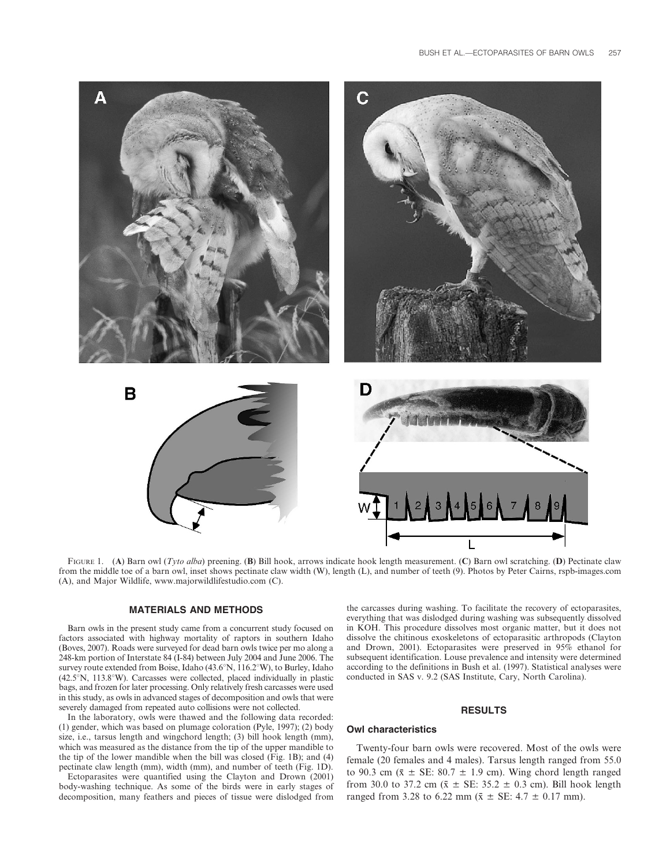

FIGURE 1. (A) Barn owl (Tyto alba) preening. (B) Bill hook, arrows indicate hook length measurement. (C) Barn owl scratching. (D) Pectinate claw from the middle toe of a barn owl, inset shows pectinate claw width (W), length (L), and number of teeth (9). Photos by Peter Cairns, rspb-images.com (A), and Major Wildlife, www.majorwildlifestudio.com (C).

### MATERIALS AND METHODS

Barn owls in the present study came from a concurrent study focused on factors associated with highway mortality of raptors in southern Idaho (Boves, 2007). Roads were surveyed for dead barn owls twice per mo along a 248-km portion of Interstate 84 (I-84) between July 2004 and June 2006. The survey route extended from Boise, Idaho (43.6°N, 116.2°W), to Burley, Idaho (42.5 $\mathrm{N}$ , 113.8 $\mathrm{W}$ ). Carcasses were collected, placed individually in plastic bags, and frozen for later processing. Only relatively fresh carcasses were used in this study, as owls in advanced stages of decomposition and owls that were severely damaged from repeated auto collisions were not collected.

In the laboratory, owls were thawed and the following data recorded: (1) gender, which was based on plumage coloration (Pyle, 1997); (2) body size, i.e., tarsus length and wingchord length; (3) bill hook length (mm), which was measured as the distance from the tip of the upper mandible to the tip of the lower mandible when the bill was closed (Fig. 1B); and (4) pectinate claw length (mm), width (mm), and number of teeth (Fig. 1D).

Ectoparasites were quantified using the Clayton and Drown (2001) body-washing technique. As some of the birds were in early stages of decomposition, many feathers and pieces of tissue were dislodged from the carcasses during washing. To facilitate the recovery of ectoparasites, everything that was dislodged during washing was subsequently dissolved in KOH. This procedure dissolves most organic matter, but it does not dissolve the chitinous exoskeletons of ectoparasitic arthropods (Clayton and Drown, 2001). Ectoparasites were preserved in 95% ethanol for subsequent identification. Louse prevalence and intensity were determined according to the definitions in Bush et al. (1997). Statistical analyses were conducted in SAS v. 9.2 (SAS Institute, Cary, North Carolina).

## RESULTS

#### Owl characteristics

Twenty-four barn owls were recovered. Most of the owls were female (20 females and 4 males). Tarsus length ranged from 55.0 to 90.3 cm ( $\bar{x}$  ± SE: 80.7 ± 1.9 cm). Wing chord length ranged from 30.0 to 37.2 cm ( $\bar{x}$  ± SE: 35.2 ± 0.3 cm). Bill hook length ranged from 3.28 to 6.22 mm ( $\bar{x}$  ± SE: 4.7 ± 0.17 mm).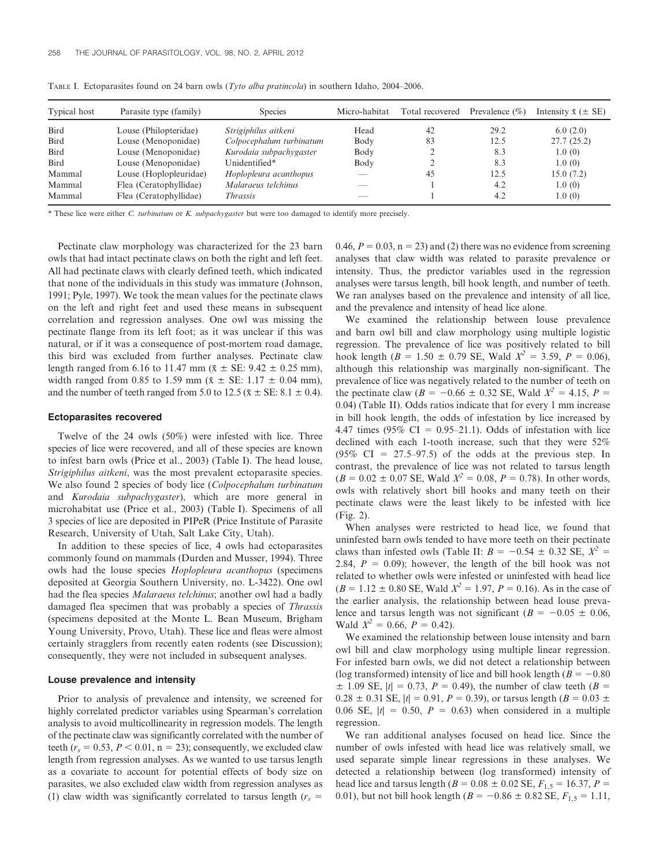| Typical host | Parasite type (family) | <b>Species</b>           | Micro-habitat | Total recovered | Prevalence $(\% )$ | Intensity $\bar{x}$ ( $\pm$ SE) |
|--------------|------------------------|--------------------------|---------------|-----------------|--------------------|---------------------------------|
| Bird         | Louse (Philopteridae)  | Strigiphilus aitkeni     | Head          | 42              | 29.2               | 6.0(2.0)                        |
| Bird         | Louse (Menoponidae)    | Colpocephalum turbinatum | Body          | 83              | 12.5               | 27.7(25.2)                      |
| Bird         | Louse (Menoponidae)    | Kurodaia subpachygaster  | Body          |                 | 8.3                | 1.0(0)                          |
| Bird         | Louse (Menoponidae)    | Unidentified*            | Body          |                 | 8.3                | 1.0(0)                          |
| Mammal       | Louse (Hoplopleuridae) | Hoplopleura acanthopus   |               | 45              | 12.5               | 15.0(7.2)                       |
| Mammal       | Flea (Ceratophyllidae) | Malaraeus telchinus      | _             |                 | 4.2                | 1.0(0)                          |
| Mammal       | Flea (Ceratophyllidae) | <i>Thrassis</i>          |               |                 | 4.2                | 1.0(0)                          |

TABLE I. Ectoparasites found on 24 barn owls (*Tyto alba pratincola*) in southern Idaho, 2004–2006.

\* These lice were either C. turbinatum or K. subpachygaster but were too damaged to identify more precisely.

Pectinate claw morphology was characterized for the 23 barn owls that had intact pectinate claws on both the right and left feet. All had pectinate claws with clearly defined teeth, which indicated that none of the individuals in this study was immature (Johnson, 1991; Pyle, 1997). We took the mean values for the pectinate claws on the left and right feet and used these means in subsequent correlation and regression analyses. One owl was missing the pectinate flange from its left foot; as it was unclear if this was natural, or if it was a consequence of post-mortem road damage, this bird was excluded from further analyses. Pectinate claw length ranged from 6.16 to 11.47 mm ( $\bar{x}$  ± SE: 9.42 ± 0.25 mm), width ranged from 0.85 to 1.59 mm ( $\bar{x} \pm \text{SE}$ : 1.17  $\pm$  0.04 mm), and the number of teeth ranged from 5.0 to 12.5 ( $\bar{x} \pm \text{SE}$ : 8.1  $\pm$  0.4).

#### Ectoparasites recovered

Twelve of the 24 owls (50%) were infested with lice. Three species of lice were recovered, and all of these species are known to infest barn owls (Price et al., 2003) (Table I). The head louse, Strigiphilus aitkeni, was the most prevalent ectoparasite species. We also found 2 species of body lice (*Colpocephalum turbinatum* and Kurodaia subpachygaster), which are more general in microhabitat use (Price et al., 2003) (Table I). Specimens of all 3 species of lice are deposited in PIPeR (Price Institute of Parasite Research, University of Utah, Salt Lake City, Utah).

In addition to these species of lice, 4 owls had ectoparasites commonly found on mammals (Durden and Musser, 1994). Three owls had the louse species Hoplopleura acanthopus (specimens deposited at Georgia Southern University, no. L-3422). One owl had the flea species *Malaraeus telchinus*; another owl had a badly damaged flea specimen that was probably a species of Thrassis (specimens deposited at the Monte L. Bean Museum, Brigham Young University, Provo, Utah). These lice and fleas were almost certainly stragglers from recently eaten rodents (see Discussion); consequently, they were not included in subsequent analyses.

#### Louse prevalence and intensity

Prior to analysis of prevalence and intensity, we screened for highly correlated predictor variables using Spearman's correlation analysis to avoid multicollinearity in regression models. The length of the pectinate claw was significantly correlated with the number of teeth ( $r_s = 0.53$ ,  $P < 0.01$ , n = 23); consequently, we excluded claw length from regression analyses. As we wanted to use tarsus length as a covariate to account for potential effects of body size on parasites, we also excluded claw width from regression analyses as (1) claw width was significantly correlated to tarsus length  $(r<sub>s</sub> =$ 

0.46,  $P = 0.03$ , n = 23) and (2) there was no evidence from screening analyses that claw width was related to parasite prevalence or intensity. Thus, the predictor variables used in the regression analyses were tarsus length, bill hook length, and number of teeth. We ran analyses based on the prevalence and intensity of all lice, and the prevalence and intensity of head lice alone.

We examined the relationship between louse prevalence and barn owl bill and claw morphology using multiple logistic regression. The prevalence of lice was positively related to bill hook length ( $B = 1.50 \pm 0.79$  SE, Wald  $X^2 = 3.59$ ,  $P = 0.06$ ), although this relationship was marginally non-significant. The prevalence of lice was negatively related to the number of teeth on the pectinate claw ( $B = -0.66 \pm 0.32$  SE, Wald  $X^2 = 4.15$ ,  $P =$ 0.04) (Table II). Odds ratios indicate that for every 1 mm increase in bill hook length, the odds of infestation by lice increased by 4.47 times (95% CI =  $0.95-21.1$ ). Odds of infestation with lice declined with each 1-tooth increase, such that they were 52%  $(95\% \text{ CI} = 27.5-97.5)$  of the odds at the previous step. In contrast, the prevalence of lice was not related to tarsus length  $(B = 0.02 \pm 0.07$  SE, Wald  $X^2 = 0.08$ ,  $P = 0.78$ ). In other words, owls with relatively short bill hooks and many teeth on their pectinate claws were the least likely to be infested with lice (Fig. 2).

When analyses were restricted to head lice, we found that uninfested barn owls tended to have more teeth on their pectinate claws than infested owls (Table II:  $B = -0.54 \pm 0.32$  SE,  $X^2 =$ 2.84,  $P = 0.09$ ); however, the length of the bill hook was not related to whether owls were infested or uninfested with head lice  $(B = 1.12 \pm 0.80$  SE, Wald  $X^2 = 1.97$ ,  $P = 0.16$ ). As in the case of the earlier analysis, the relationship between head louse prevalence and tarsus length was not significant ( $B = -0.05 \pm 0.06$ , Wald  $X^2 = 0.66$ ,  $P = 0.42$ ).

We examined the relationship between louse intensity and barn owl bill and claw morphology using multiple linear regression. For infested barn owls, we did not detect a relationship between (log transformed) intensity of lice and bill hook length ( $B = -0.80$ )  $\pm$  1.09 SE,  $|t| = 0.73$ ,  $P = 0.49$ ), the number of claw teeth (B =  $0.28 \pm 0.31$  SE,  $|t| = 0.91$ ,  $P = 0.39$ ), or tarsus length ( $B = 0.03 \pm 0.03$ ) 0.06 SE,  $|t| = 0.50$ ,  $P = 0.63$ ) when considered in a multiple regression.

We ran additional analyses focused on head lice. Since the number of owls infested with head lice was relatively small, we used separate simple linear regressions in these analyses. We detected a relationship between (log transformed) intensity of head lice and tarsus length ( $B = 0.08 \pm 0.02$  SE,  $F_{1.5} = 16.37$ ,  $P =$ 0.01), but not bill hook length ( $B = -0.86 \pm 0.82$  SE,  $F_{1,5} = 1.11$ ,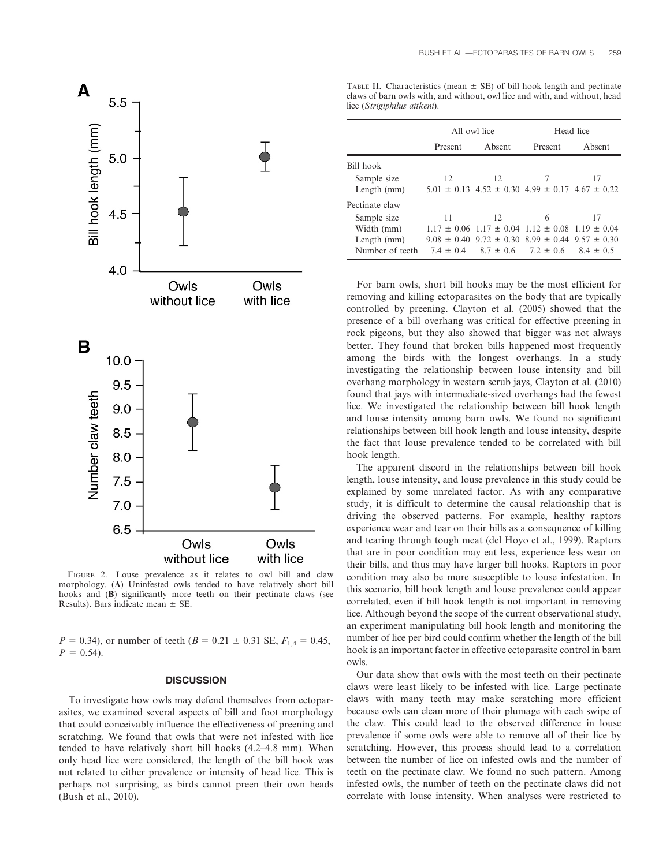

FIGURE 2. Louse prevalence as it relates to owl bill and claw morphology. (A) Uninfested owls tended to have relatively short bill hooks and (B) significantly more teeth on their pectinate claws (see Results). Bars indicate mean  $\pm$  SE.

 $P = 0.34$ ), or number of teeth ( $B = 0.21 \pm 0.31$  SE,  $F_{1,4} = 0.45$ ,  $P = 0.54$ .

## **DISCUSSION**

To investigate how owls may defend themselves from ectoparasites, we examined several aspects of bill and foot morphology that could conceivably influence the effectiveness of preening and scratching. We found that owls that were not infested with lice tended to have relatively short bill hooks (4.2–4.8 mm). When only head lice were considered, the length of the bill hook was not related to either prevalence or intensity of head lice. This is perhaps not surprising, as birds cannot preen their own heads (Bush et al., 2010).

TABLE II. Characteristics (mean  $\pm$  SE) of bill hook length and pectinate claws of barn owls with, and without, owl lice and with, and without, head lice (Strigiphilus aitkeni).

|                 | All owl lice |                                                                 | Head lice     |               |  |
|-----------------|--------------|-----------------------------------------------------------------|---------------|---------------|--|
|                 | Present      | Absent                                                          | Present       | Absent        |  |
| Bill hook       |              |                                                                 |               |               |  |
| Sample size     | 12           | 12                                                              |               | 17            |  |
| Length $(mm)$   |              | $5.01 \pm 0.13$ $4.52 \pm 0.30$ $4.99 \pm 0.17$ $4.67 \pm 0.22$ |               |               |  |
| Pectinate claw  |              |                                                                 |               |               |  |
| Sample size     | 11           | 12.                                                             | 6             | 17            |  |
| Width (mm)      |              | $1.17 \pm 0.06$ $1.17 \pm 0.04$ $1.12 \pm 0.08$ $1.19 \pm 0.04$ |               |               |  |
| Length (mm)     |              | $9.08 \pm 0.40$ $9.72 \pm 0.30$ $8.99 \pm 0.44$ $9.57 \pm 0.30$ |               |               |  |
| Number of teeth | $74 + 04$    | $8.7 \pm 0.6$                                                   | $7.2 \pm 0.6$ | $8.4 \pm 0.5$ |  |

For barn owls, short bill hooks may be the most efficient for removing and killing ectoparasites on the body that are typically controlled by preening. Clayton et al. (2005) showed that the presence of a bill overhang was critical for effective preening in rock pigeons, but they also showed that bigger was not always better. They found that broken bills happened most frequently among the birds with the longest overhangs. In a study investigating the relationship between louse intensity and bill overhang morphology in western scrub jays, Clayton et al. (2010) found that jays with intermediate-sized overhangs had the fewest lice. We investigated the relationship between bill hook length and louse intensity among barn owls. We found no significant relationships between bill hook length and louse intensity, despite the fact that louse prevalence tended to be correlated with bill hook length.

The apparent discord in the relationships between bill hook length, louse intensity, and louse prevalence in this study could be explained by some unrelated factor. As with any comparative study, it is difficult to determine the causal relationship that is driving the observed patterns. For example, healthy raptors experience wear and tear on their bills as a consequence of killing and tearing through tough meat (del Hoyo et al., 1999). Raptors that are in poor condition may eat less, experience less wear on their bills, and thus may have larger bill hooks. Raptors in poor condition may also be more susceptible to louse infestation. In this scenario, bill hook length and louse prevalence could appear correlated, even if bill hook length is not important in removing lice. Although beyond the scope of the current observational study, an experiment manipulating bill hook length and monitoring the number of lice per bird could confirm whether the length of the bill hook is an important factor in effective ectoparasite control in barn owls.

Our data show that owls with the most teeth on their pectinate claws were least likely to be infested with lice. Large pectinate claws with many teeth may make scratching more efficient because owls can clean more of their plumage with each swipe of the claw. This could lead to the observed difference in louse prevalence if some owls were able to remove all of their lice by scratching. However, this process should lead to a correlation between the number of lice on infested owls and the number of teeth on the pectinate claw. We found no such pattern. Among infested owls, the number of teeth on the pectinate claws did not correlate with louse intensity. When analyses were restricted to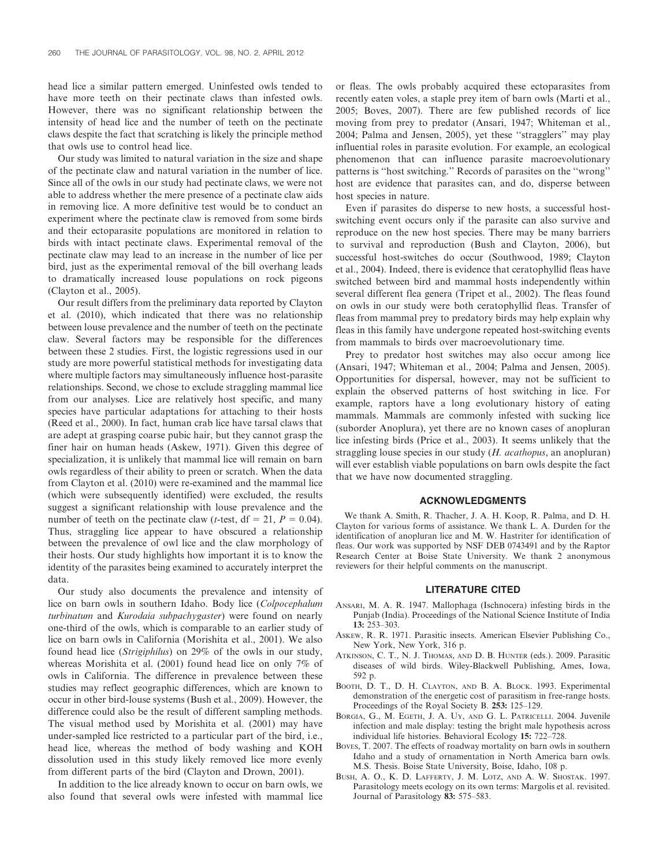head lice a similar pattern emerged. Uninfested owls tended to have more teeth on their pectinate claws than infested owls. However, there was no significant relationship between the intensity of head lice and the number of teeth on the pectinate claws despite the fact that scratching is likely the principle method that owls use to control head lice.

Our study was limited to natural variation in the size and shape of the pectinate claw and natural variation in the number of lice. Since all of the owls in our study had pectinate claws, we were not able to address whether the mere presence of a pectinate claw aids in removing lice. A more definitive test would be to conduct an experiment where the pectinate claw is removed from some birds and their ectoparasite populations are monitored in relation to birds with intact pectinate claws. Experimental removal of the pectinate claw may lead to an increase in the number of lice per bird, just as the experimental removal of the bill overhang leads to dramatically increased louse populations on rock pigeons (Clayton et al., 2005).

Our result differs from the preliminary data reported by Clayton et al. (2010), which indicated that there was no relationship between louse prevalence and the number of teeth on the pectinate claw. Several factors may be responsible for the differences between these 2 studies. First, the logistic regressions used in our study are more powerful statistical methods for investigating data where multiple factors may simultaneously influence host-parasite relationships. Second, we chose to exclude straggling mammal lice from our analyses. Lice are relatively host specific, and many species have particular adaptations for attaching to their hosts (Reed et al., 2000). In fact, human crab lice have tarsal claws that are adept at grasping coarse pubic hair, but they cannot grasp the finer hair on human heads (Askew, 1971). Given this degree of specialization, it is unlikely that mammal lice will remain on barn owls regardless of their ability to preen or scratch. When the data from Clayton et al. (2010) were re-examined and the mammal lice (which were subsequently identified) were excluded, the results suggest a significant relationship with louse prevalence and the number of teeth on the pectinate claw (*t*-test,  $df = 21$ ,  $P = 0.04$ ). Thus, straggling lice appear to have obscured a relationship between the prevalence of owl lice and the claw morphology of their hosts. Our study highlights how important it is to know the identity of the parasites being examined to accurately interpret the data.

Our study also documents the prevalence and intensity of lice on barn owls in southern Idaho. Body lice (Colpocephalum turbinatum and Kurodaia subpachygaster) were found on nearly one-third of the owls, which is comparable to an earlier study of lice on barn owls in California (Morishita et al., 2001). We also found head lice (Strigiphilus) on 29% of the owls in our study, whereas Morishita et al. (2001) found head lice on only 7% of owls in California. The difference in prevalence between these studies may reflect geographic differences, which are known to occur in other bird-louse systems (Bush et al., 2009). However, the difference could also be the result of different sampling methods. The visual method used by Morishita et al. (2001) may have under-sampled lice restricted to a particular part of the bird, i.e., head lice, whereas the method of body washing and KOH dissolution used in this study likely removed lice more evenly from different parts of the bird (Clayton and Drown, 2001).

In addition to the lice already known to occur on barn owls, we also found that several owls were infested with mammal lice or fleas. The owls probably acquired these ectoparasites from recently eaten voles, a staple prey item of barn owls (Marti et al., 2005; Boves, 2007). There are few published records of lice moving from prey to predator (Ansari, 1947; Whiteman et al., 2004; Palma and Jensen, 2005), yet these ''stragglers'' may play influential roles in parasite evolution. For example, an ecological phenomenon that can influence parasite macroevolutionary patterns is ''host switching.'' Records of parasites on the ''wrong'' host are evidence that parasites can, and do, disperse between host species in nature.

Even if parasites do disperse to new hosts, a successful hostswitching event occurs only if the parasite can also survive and reproduce on the new host species. There may be many barriers to survival and reproduction (Bush and Clayton, 2006), but successful host-switches do occur (Southwood, 1989; Clayton et al., 2004). Indeed, there is evidence that ceratophyllid fleas have switched between bird and mammal hosts independently within several different flea genera (Tripet et al., 2002). The fleas found on owls in our study were both ceratophyllid fleas. Transfer of fleas from mammal prey to predatory birds may help explain why fleas in this family have undergone repeated host-switching events from mammals to birds over macroevolutionary time.

Prey to predator host switches may also occur among lice (Ansari, 1947; Whiteman et al., 2004; Palma and Jensen, 2005). Opportunities for dispersal, however, may not be sufficient to explain the observed patterns of host switching in lice. For example, raptors have a long evolutionary history of eating mammals. Mammals are commonly infested with sucking lice (suborder Anoplura), yet there are no known cases of anopluran lice infesting birds (Price et al., 2003). It seems unlikely that the straggling louse species in our study (*H. acathopus*, an anopluran) will ever establish viable populations on barn owls despite the fact that we have now documented straggling.

#### ACKNOWLEDGMENTS

We thank A. Smith, R. Thacher, J. A. H. Koop, R. Palma, and D. H. Clayton for various forms of assistance. We thank L. A. Durden for the identification of anopluran lice and M. W. Hastriter for identification of fleas. Our work was supported by NSF DEB 0743491 and by the Raptor Research Center at Boise State University. We thank 2 anonymous reviewers for their helpful comments on the manuscript.

#### LITERATURE CITED

- ANSARI, M. A. R. 1947. Mallophaga (Ischnocera) infesting birds in the Punjab (India). Proceedings of the National Science Institute of India 13: 253–303.
- ASKEW, R. R. 1971. Parasitic insects. American Elsevier Publishing Co., New York, New York, 316 p.
- ATKINSON, C. T., N. J. THOMAS, AND D. B. HUNTER (eds.). 2009. Parasitic diseases of wild birds. Wiley-Blackwell Publishing, Ames, Iowa, 592 p.
- BOOTH, D. T., D. H. CLAYTON, AND B. A. BLOCK. 1993. Experimental demonstration of the energetic cost of parasitism in free-range hosts. Proceedings of the Royal Society B. 253: 125–129.
- BORGIA, G., M. EGETH, J. A. UY, AND G. L. PATRICELLI. 2004. Juvenile infection and male display: testing the bright male hypothesis across individual life histories. Behavioral Ecology 15: 722–728.
- BOVES, T. 2007. The effects of roadway mortality on barn owls in southern Idaho and a study of ornamentation in North America barn owls. M.S. Thesis. Boise State University, Boise, Idaho, 108 p.
- BUSH, A. O., K. D. LAFFERTY, J. M. LOTZ, AND A. W. SHOSTAK. 1997. Parasitology meets ecology on its own terms: Margolis et al. revisited. Journal of Parasitology 83: 575–583.